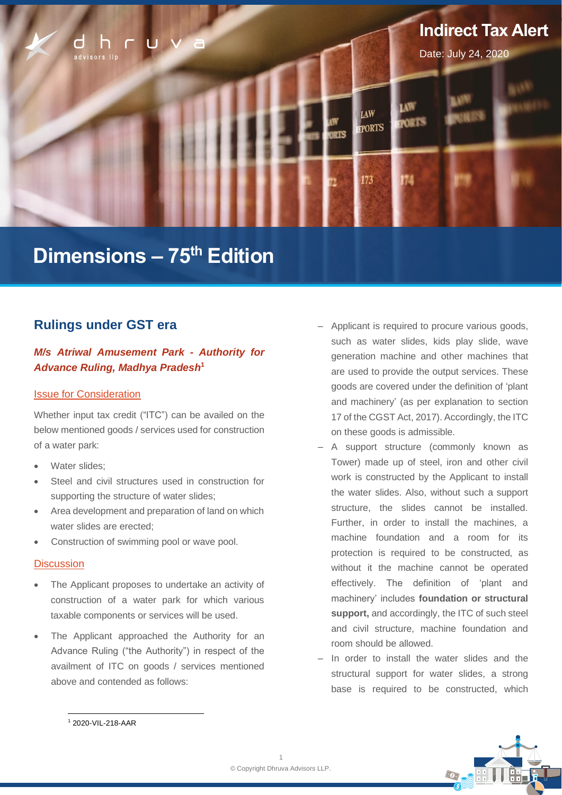

# **Dimensions – 75 th Edition**

# **Rulings under GST era**

# *M/s Atriwal Amusement Park - Authority for Advance Ruling, Madhya Pradesh***<sup>1</sup>**

#### Issue for Consideration

Whether input tax credit ("ITC") can be availed on the below mentioned goods / services used for construction of a water park:

- Water slides:
- Steel and civil structures used in construction for supporting the structure of water slides;
- Area development and preparation of land on which water slides are erected:
- Construction of swimming pool or wave pool.

#### **Discussion**

- The Applicant proposes to undertake an activity of construction of a water park for which various taxable components or services will be used.
- The Applicant approached the Authority for an Advance Ruling ("the Authority") in respect of the availment of ITC on goods / services mentioned above and contended as follows:
- ‒ Applicant is required to procure various goods, such as water slides, kids play slide, wave generation machine and other machines that are used to provide the output services. These goods are covered under the definition of 'plant and machinery' (as per explanation to section 17 of the CGST Act, 2017). Accordingly, the ITC on these goods is admissible.
- ‒ A support structure (commonly known as Tower) made up of steel, iron and other civil work is constructed by the Applicant to install the water slides. Also, without such a support structure, the slides cannot be installed. Further, in order to install the machines, a machine foundation and a room for its protection is required to be constructed, as without it the machine cannot be operated effectively. The definition of 'plant and machinery' includes **foundation or structural support,** and accordingly, the ITC of such steel and civil structure, machine foundation and room should be allowed.
- ‒ In order to install the water slides and the structural support for water slides, a strong base is required to be constructed, which



<sup>1</sup> 2020-VIL-218-AAR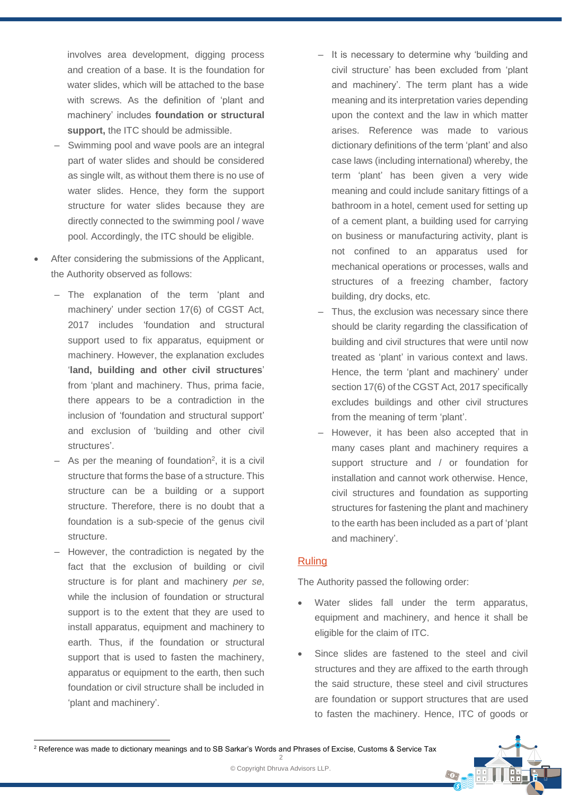involves area development, digging process and creation of a base. It is the foundation for water slides, which will be attached to the base with screws. As the definition of 'plant and machinery' includes **foundation or structural support,** the ITC should be admissible.

- Swimming pool and wave pools are an integral part of water slides and should be considered as single wilt, as without them there is no use of water slides. Hence, they form the support structure for water slides because they are directly connected to the swimming pool / wave pool. Accordingly, the ITC should be eligible.
- After considering the submissions of the Applicant, the Authority observed as follows:
	- ‒ The explanation of the term 'plant and machinery' under section 17(6) of CGST Act, 2017 includes 'foundation and structural support used to fix apparatus, equipment or machinery. However, the explanation excludes '**land, building and other civil structures**' from 'plant and machinery. Thus, prima facie, there appears to be a contradiction in the inclusion of 'foundation and structural support' and exclusion of 'building and other civil structures'.
	- $-$  As per the meaning of foundation<sup>2</sup>, it is a civil structure that forms the base of a structure. This structure can be a building or a support structure. Therefore, there is no doubt that a foundation is a sub-specie of the genus civil structure.
	- ‒ However, the contradiction is negated by the fact that the exclusion of building or civil structure is for plant and machinery *per se*, while the inclusion of foundation or structural support is to the extent that they are used to install apparatus, equipment and machinery to earth. Thus, if the foundation or structural support that is used to fasten the machinery, apparatus or equipment to the earth, then such foundation or civil structure shall be included in 'plant and machinery'.
- It is necessary to determine why 'building and civil structure' has been excluded from 'plant and machinery'. The term plant has a wide meaning and its interpretation varies depending upon the context and the law in which matter arises. Reference was made to various dictionary definitions of the term 'plant' and also case laws (including international) whereby, the term 'plant' has been given a very wide meaning and could include sanitary fittings of a bathroom in a hotel, cement used for setting up of a cement plant, a building used for carrying on business or manufacturing activity, plant is not confined to an apparatus used for mechanical operations or processes, walls and structures of a freezing chamber, factory building, dry docks, etc.
- Thus, the exclusion was necessary since there should be clarity regarding the classification of building and civil structures that were until now treated as 'plant' in various context and laws. Hence, the term 'plant and machinery' under section 17(6) of the CGST Act, 2017 specifically excludes buildings and other civil structures from the meaning of term 'plant'.
- ‒ However, it has been also accepted that in many cases plant and machinery requires a support structure and / or foundation for installation and cannot work otherwise. Hence, civil structures and foundation as supporting structures for fastening the plant and machinery to the earth has been included as a part of 'plant and machinery'.

#### Ruling

The Authority passed the following order:

- Water slides fall under the term apparatus, equipment and machinery, and hence it shall be eligible for the claim of ITC.
- Since slides are fastened to the steel and civil structures and they are affixed to the earth through the said structure, these steel and civil structures are foundation or support structures that are used to fasten the machinery. Hence, ITC of goods or

 $\odot$ 



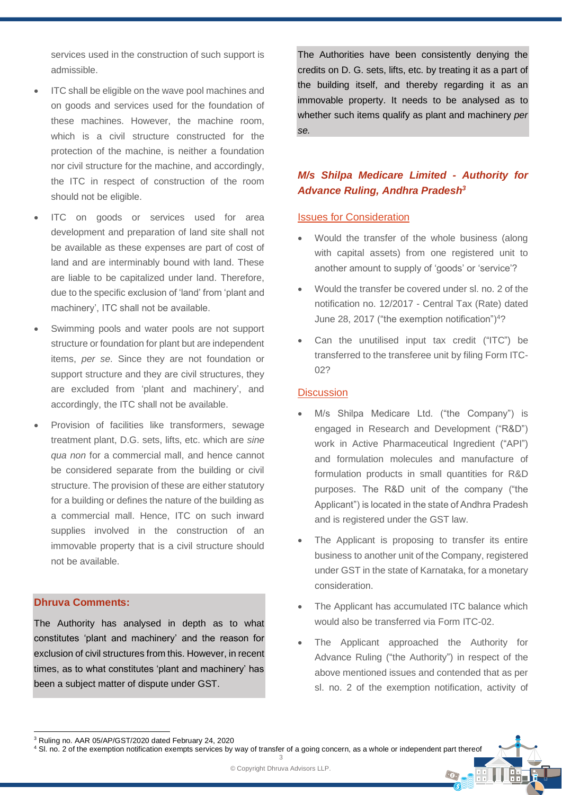services used in the construction of such support is admissible.

- ITC shall be eligible on the wave pool machines and on goods and services used for the foundation of these machines. However, the machine room, which is a civil structure constructed for the protection of the machine, is neither a foundation nor civil structure for the machine, and accordingly, the ITC in respect of construction of the room should not be eligible.
- ITC on goods or services used for area development and preparation of land site shall not be available as these expenses are part of cost of land and are interminably bound with land. These are liable to be capitalized under land. Therefore, due to the specific exclusion of 'land' from 'plant and machinery', ITC shall not be available.
- Swimming pools and water pools are not support structure or foundation for plant but are independent items, *per se*. Since they are not foundation or support structure and they are civil structures, they are excluded from 'plant and machinery', and accordingly, the ITC shall not be available.
- Provision of facilities like transformers, sewage treatment plant, D.G. sets, lifts, etc. which are *sine qua non* for a commercial mall, and hence cannot be considered separate from the building or civil structure. The provision of these are either statutory for a building or defines the nature of the building as a commercial mall. Hence, ITC on such inward supplies involved in the construction of an immovable property that is a civil structure should not be available.

#### **Dhruva Comments:**

The Authority has analysed in depth as to what constitutes 'plant and machinery' and the reason for exclusion of civil structures from this. However, in recent times, as to what constitutes 'plant and machinery' has been a subject matter of dispute under GST.

The Authorities have been consistently denying the credits on D. G. sets, lifts, etc. by treating it as a part of the building itself, and thereby regarding it as an immovable property. It needs to be analysed as to whether such items qualify as plant and machinery *per se.* 

# *M/s Shilpa Medicare Limited - Authority for Advance Ruling, Andhra Pradesh<sup>3</sup>*

#### Issues for Consideration

- Would the transfer of the whole business (along with capital assets) from one registered unit to another amount to supply of 'goods' or 'service'?
- Would the transfer be covered under sl. no. 2 of the notification no. 12/2017 - Central Tax (Rate) dated June 28, 2017 ("the exemption notification")<sup>4</sup>?
- Can the unutilised input tax credit ("ITC") be transferred to the transferee unit by filing Form ITC-02?

#### **Discussion**

- M/s Shilpa Medicare Ltd. ("the Company") is engaged in Research and Development ("R&D") work in Active Pharmaceutical Ingredient ("API") and formulation molecules and manufacture of formulation products in small quantities for R&D purposes. The R&D unit of the company ("the Applicant") is located in the state of Andhra Pradesh and is registered under the GST law.
- The Applicant is proposing to transfer its entire business to another unit of the Company, registered under GST in the state of Karnataka, for a monetary consideration.
- The Applicant has accumulated ITC balance which would also be transferred via Form ITC-02.
- The Applicant approached the Authority for Advance Ruling ("the Authority") in respect of the above mentioned issues and contended that as per sl. no. 2 of the exemption notification, activity of

 $\odot$ 

<sup>3</sup> Ruling no. AAR 05/AP/GST/2020 dated February 24, 2020

<sup>3</sup> <sup>4</sup> Sl. no. 2 of the exemption notification exempts services by way of transfer of a going concern, as a whole or independent part thereof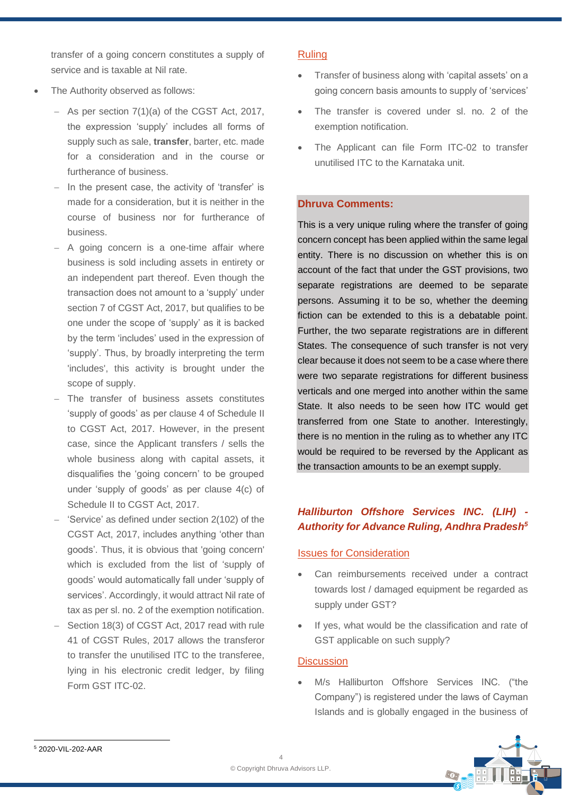transfer of a going concern constitutes a supply of service and is taxable at Nil rate.

- The Authority observed as follows:
	- − As per section 7(1)(a) of the CGST Act, 2017, the expression 'supply' includes all forms of supply such as sale, **transfer**, barter, etc. made for a consideration and in the course or furtherance of business.
	- − In the present case, the activity of 'transfer' is made for a consideration, but it is neither in the course of business nor for furtherance of business.
	- − A going concern is a one-time affair where business is sold including assets in entirety or an independent part thereof. Even though the transaction does not amount to a 'supply' under section 7 of CGST Act, 2017, but qualifies to be one under the scope of 'supply' as it is backed by the term 'includes' used in the expression of 'supply'. Thus, by broadly interpreting the term 'includes', this activity is brought under the scope of supply.
	- The transfer of business assets constitutes 'supply of goods' as per clause 4 of Schedule II to CGST Act, 2017. However, in the present case, since the Applicant transfers / sells the whole business along with capital assets, it disqualifies the 'going concern' to be grouped under 'supply of goods' as per clause 4(c) of Schedule II to CGST Act, 2017.
	- − 'Service' as defined under section 2(102) of the CGST Act, 2017, includes anything 'other than goods'. Thus, it is obvious that 'going concern' which is excluded from the list of 'supply of goods' would automatically fall under 'supply of services'. Accordingly, it would attract Nil rate of tax as per sl. no. 2 of the exemption notification.
	- Section 18(3) of CGST Act, 2017 read with rule 41 of CGST Rules, 2017 allows the transferor to transfer the unutilised ITC to the transferee, lying in his electronic credit ledger, by filing Form GST ITC-02.

## **Ruling**

- Transfer of business along with 'capital assets' on a going concern basis amounts to supply of 'services'
- The transfer is covered under sl. no. 2 of the exemption notification.
- The Applicant can file Form ITC-02 to transfer unutilised ITC to the Karnataka unit.

# **Dhruva Comments:**

This is a very unique ruling where the transfer of going concern concept has been applied within the same legal entity. There is no discussion on whether this is on account of the fact that under the GST provisions, two separate registrations are deemed to be separate persons. Assuming it to be so, whether the deeming fiction can be extended to this is a debatable point. Further, the two separate registrations are in different States. The consequence of such transfer is not very clear because it does not seem to be a case where there were two separate registrations for different business verticals and one merged into another within the same State. It also needs to be seen how ITC would get transferred from one State to another. Interestingly, there is no mention in the ruling as to whether any ITC would be required to be reversed by the Applicant as the transaction amounts to be an exempt supply.

# *Halliburton Offshore Services INC. (LIH) - Authority for Advance Ruling, Andhra Pradesh<sup>5</sup>*

#### Issues for Consideration

- Can reimbursements received under a contract towards lost / damaged equipment be regarded as supply under GST?
- If yes, what would be the classification and rate of GST applicable on such supply?

## **Discussion**

M/s Halliburton Offshore Services INC. ("the Company") is registered under the laws of Cayman Islands and is globally engaged in the business of

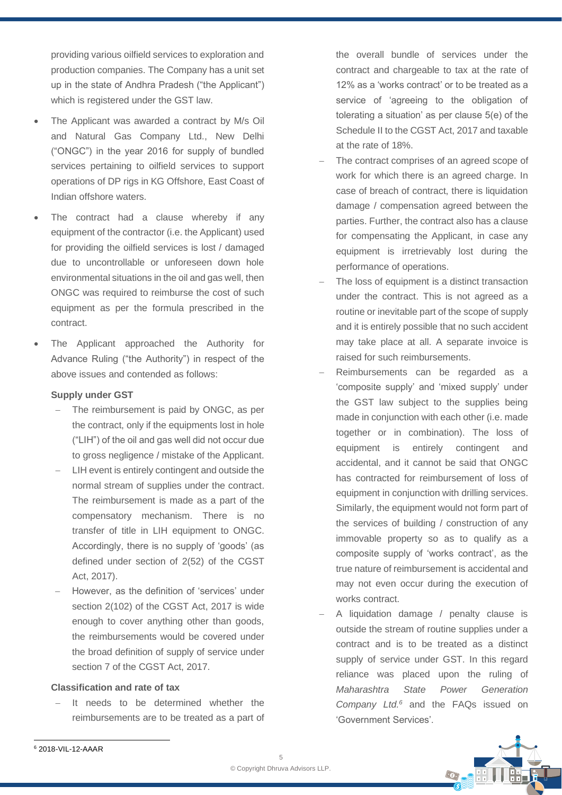providing various oilfield services to exploration and production companies. The Company has a unit set up in the state of Andhra Pradesh ("the Applicant") which is registered under the GST law.

- The Applicant was awarded a contract by M/s Oil and Natural Gas Company Ltd., New Delhi ("ONGC") in the year 2016 for supply of bundled services pertaining to oilfield services to support operations of DP rigs in KG Offshore, East Coast of Indian offshore waters.
- The contract had a clause whereby if any equipment of the contractor (i.e. the Applicant) used for providing the oilfield services is lost / damaged due to uncontrollable or unforeseen down hole environmental situations in the oil and gas well, then ONGC was required to reimburse the cost of such equipment as per the formula prescribed in the contract.
- The Applicant approached the Authority for Advance Ruling ("the Authority") in respect of the above issues and contended as follows:

#### **Supply under GST**

- − The reimbursement is paid by ONGC, as per the contract, only if the equipments lost in hole ("LIH") of the oil and gas well did not occur due to gross negligence / mistake of the Applicant.
- LIH event is entirely contingent and outside the normal stream of supplies under the contract. The reimbursement is made as a part of the compensatory mechanism. There is no transfer of title in LIH equipment to ONGC. Accordingly, there is no supply of 'goods' (as defined under section of 2(52) of the CGST Act, 2017).
- − However, as the definition of 'services' under section 2(102) of the CGST Act, 2017 is wide enough to cover anything other than goods, the reimbursements would be covered under the broad definition of supply of service under section 7 of the CGST Act, 2017.

#### **Classification and rate of tax**

It needs to be determined whether the reimbursements are to be treated as a part of the overall bundle of services under the contract and chargeable to tax at the rate of 12% as a 'works contract' or to be treated as a service of 'agreeing to the obligation of tolerating a situation' as per clause 5(e) of the Schedule II to the CGST Act, 2017 and taxable at the rate of 18%.

- The contract comprises of an agreed scope of work for which there is an agreed charge. In case of breach of contract, there is liquidation damage / compensation agreed between the parties. Further, the contract also has a clause for compensating the Applicant, in case any equipment is irretrievably lost during the performance of operations.
- The loss of equipment is a distinct transaction under the contract. This is not agreed as a routine or inevitable part of the scope of supply and it is entirely possible that no such accident may take place at all. A separate invoice is raised for such reimbursements.
- Reimbursements can be regarded as a 'composite supply' and 'mixed supply' under the GST law subject to the supplies being made in conjunction with each other (i.e. made together or in combination). The loss of equipment is entirely contingent and accidental, and it cannot be said that ONGC has contracted for reimbursement of loss of equipment in conjunction with drilling services. Similarly, the equipment would not form part of the services of building / construction of any immovable property so as to qualify as a composite supply of 'works contract', as the true nature of reimbursement is accidental and may not even occur during the execution of works contract.
- − A liquidation damage / penalty clause is outside the stream of routine supplies under a contract and is to be treated as a distinct supply of service under GST. In this regard reliance was placed upon the ruling of *Maharashtra State Power Generation Company Ltd.<sup>6</sup>* and the FAQs issued on 'Government Services'.

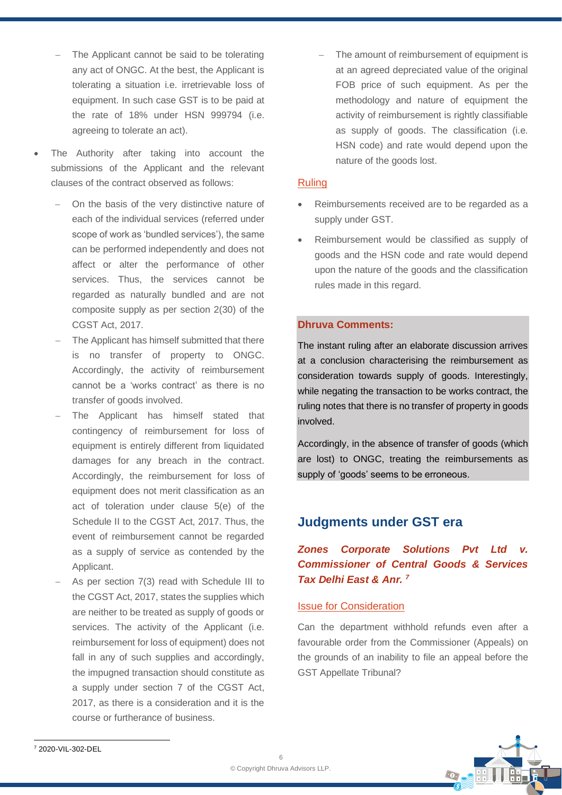- The Applicant cannot be said to be tolerating any act of ONGC. At the best, the Applicant is tolerating a situation i.e. irretrievable loss of equipment. In such case GST is to be paid at the rate of 18% under HSN 999794 (i.e. agreeing to tolerate an act).
- The Authority after taking into account the submissions of the Applicant and the relevant clauses of the contract observed as follows:
	- On the basis of the very distinctive nature of each of the individual services (referred under scope of work as 'bundled services'), the same can be performed independently and does not affect or alter the performance of other services. Thus, the services cannot be regarded as naturally bundled and are not composite supply as per section 2(30) of the CGST Act, 2017.
	- The Applicant has himself submitted that there is no transfer of property to ONGC. Accordingly, the activity of reimbursement cannot be a 'works contract' as there is no transfer of goods involved.
	- The Applicant has himself stated that contingency of reimbursement for loss of equipment is entirely different from liquidated damages for any breach in the contract. Accordingly, the reimbursement for loss of equipment does not merit classification as an act of toleration under clause 5(e) of the Schedule II to the CGST Act, 2017. Thus, the event of reimbursement cannot be regarded as a supply of service as contended by the Applicant.
	- As per section 7(3) read with Schedule III to the CGST Act, 2017, states the supplies which are neither to be treated as supply of goods or services. The activity of the Applicant (i.e. reimbursement for loss of equipment) does not fall in any of such supplies and accordingly. the impugned transaction should constitute as a supply under section 7 of the CGST Act, 2017, as there is a consideration and it is the course or furtherance of business.

The amount of reimbursement of equipment is at an agreed depreciated value of the original FOB price of such equipment. As per the methodology and nature of equipment the activity of reimbursement is rightly classifiable as supply of goods. The classification (i.e. HSN code) and rate would depend upon the nature of the goods lost.

## Ruling

- Reimbursements received are to be regarded as a supply under GST.
- Reimbursement would be classified as supply of goods and the HSN code and rate would depend upon the nature of the goods and the classification rules made in this regard.

## **Dhruva Comments:**

The instant ruling after an elaborate discussion arrives at a conclusion characterising the reimbursement as consideration towards supply of goods. Interestingly, while negating the transaction to be works contract, the ruling notes that there is no transfer of property in goods involved.

Accordingly, in the absence of transfer of goods (which are lost) to ONGC, treating the reimbursements as supply of 'goods' seems to be erroneous.

# **Judgments under GST era**

# *Zones Corporate Solutions Pvt Ltd v. Commissioner of Central Goods & Services Tax Delhi East & Anr. <sup>7</sup>*

#### Issue for Consideration

Can the department withhold refunds even after a favourable order from the Commissioner (Appeals) on the grounds of an inability to file an appeal before the GST Appellate Tribunal?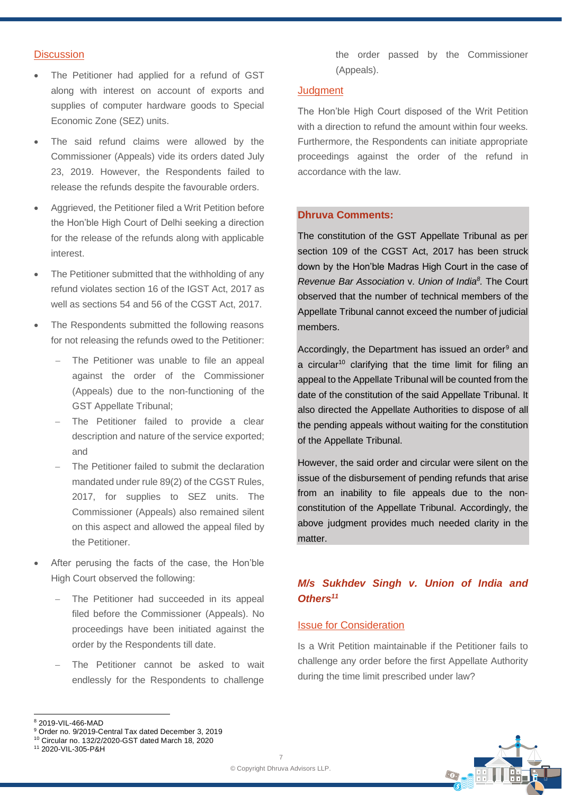#### **Discussion**

- The Petitioner had applied for a refund of GST along with interest on account of exports and supplies of computer hardware goods to Special Economic Zone (SEZ) units.
- The said refund claims were allowed by the Commissioner (Appeals) vide its orders dated July 23, 2019. However, the Respondents failed to release the refunds despite the favourable orders.
- Aggrieved, the Petitioner filed a Writ Petition before the Hon'ble High Court of Delhi seeking a direction for the release of the refunds along with applicable interest.
- The Petitioner submitted that the withholding of any refund violates section 16 of the IGST Act, 2017 as well as sections 54 and 56 of the CGST Act, 2017.
- The Respondents submitted the following reasons for not releasing the refunds owed to the Petitioner:
	- The Petitioner was unable to file an appeal against the order of the Commissioner (Appeals) due to the non-functioning of the GST Appellate Tribunal;
	- The Petitioner failed to provide a clear description and nature of the service exported; and
	- The Petitioner failed to submit the declaration mandated under rule 89(2) of the CGST Rules, 2017, for supplies to SEZ units. The Commissioner (Appeals) also remained silent on this aspect and allowed the appeal filed by the Petitioner.
- After perusing the facts of the case, the Hon'ble High Court observed the following:
	- The Petitioner had succeeded in its appeal filed before the Commissioner (Appeals). No proceedings have been initiated against the order by the Respondents till date.
	- The Petitioner cannot be asked to wait endlessly for the Respondents to challenge

the order passed by the Commissioner (Appeals).

#### **Judgment**

The Hon'ble High Court disposed of the Writ Petition with a direction to refund the amount within four weeks. Furthermore, the Respondents can initiate appropriate proceedings against the order of the refund in accordance with the law.

#### **Dhruva Comments:**

The constitution of the GST Appellate Tribunal as per section 109 of the CGST Act, 2017 has been struck down by the Hon'ble Madras High Court in the case of *Revenue Bar Association* v. *Union of India<sup>8</sup> .* The Court observed that the number of technical members of the Appellate Tribunal cannot exceed the number of judicial members.

Accordingly, the Department has issued an order<sup>9</sup> and a circular<sup>10</sup> clarifying that the time limit for filing an appeal to the Appellate Tribunal will be counted from the date of the constitution of the said Appellate Tribunal. It also directed the Appellate Authorities to dispose of all the pending appeals without waiting for the constitution of the Appellate Tribunal.

However, the said order and circular were silent on the issue of the disbursement of pending refunds that arise from an inability to file appeals due to the nonconstitution of the Appellate Tribunal. Accordingly, the above judgment provides much needed clarity in the matter.

# *M/s Sukhdev Singh v. Union of India and Others<sup>11</sup>*

#### Issue for Consideration

Is a Writ Petition maintainable if the Petitioner fails to challenge any order before the first Appellate Authority during the time limit prescribed under law?



<sup>8</sup> 2019-VIL-466-MAD

<sup>9</sup> Order no. 9/2019-Central Tax dated December 3, 2019

<sup>10</sup> Circular no. 132/2/2020-GST dated March 18, 2020

<sup>11</sup> 2020-VIL-305-P&H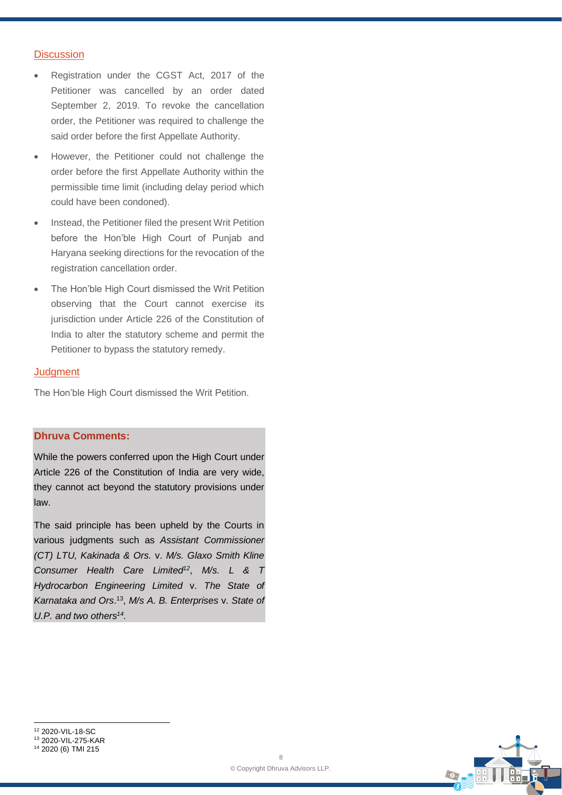#### **Discussion**

- Registration under the CGST Act, 2017 of the Petitioner was cancelled by an order dated September 2, 2019. To revoke the cancellation order, the Petitioner was required to challenge the said order before the first Appellate Authority.
- However, the Petitioner could not challenge the order before the first Appellate Authority within the permissible time limit (including delay period which could have been condoned).
- Instead, the Petitioner filed the present Writ Petition before the Hon'ble High Court of Punjab and Haryana seeking directions for the revocation of the registration cancellation order.
- The Hon'ble High Court dismissed the Writ Petition observing that the Court cannot exercise its jurisdiction under Article 226 of the Constitution of India to alter the statutory scheme and permit the Petitioner to bypass the statutory remedy.

#### **Judgment**

The Hon'ble High Court dismissed the Writ Petition.

# **Dhruva Comments:**

While the powers conferred upon the High Court under Article 226 of the Constitution of India are very wide, they cannot act beyond the statutory provisions under law.

The said principle has been upheld by the Courts in various judgments such as *Assistant Commissioner (CT) LTU, Kakinada & Ors.* v. *M/s. Glaxo Smith Kline Consumer Health Care Limited<sup>12</sup>* , *M/s. L & T Hydrocarbon Engineering Limited* v. *The State of Karnataka and Ors*. 13 , *M/s A. B. Enterprises* v. *State of U.P. and two others<sup>14</sup> .*



<sup>14</sup> 2020 (6) TMI 215